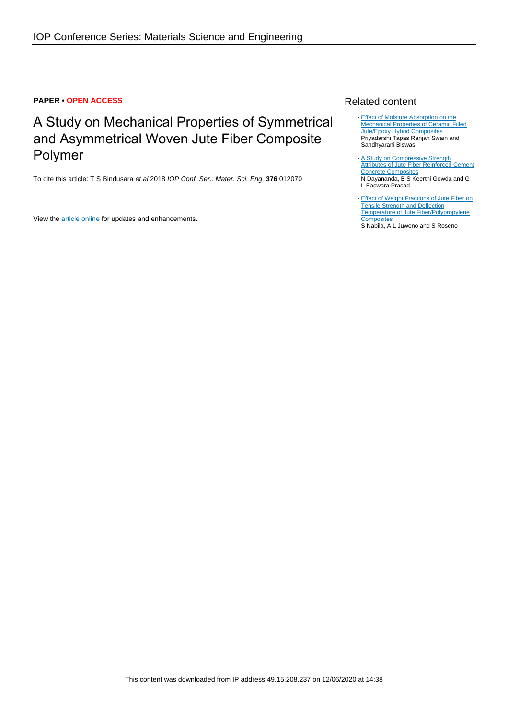### **PAPER • OPEN ACCESS**

# A Study on Mechanical Properties of Symmetrical and Asymmetrical Woven Jute Fiber Composite Polymer

To cite this article: T S Bindusara et al 2018 IOP Conf. Ser.: Mater. Sci. Eng. **376** 012070

View the **[article online](https://doi.org/10.1088/1757-899X/376/1/012070)** for updates and enhancements.

## Related content

- [Effect of Moisture Absorption on the](http://iopscience.iop.org/article/10.1088/1757-899X/178/1/012010) [Mechanical Properties of Ceramic Filled](http://iopscience.iop.org/article/10.1088/1757-899X/178/1/012010) **[Jute/Epoxy Hybrid Composites](http://iopscience.iop.org/article/10.1088/1757-899X/178/1/012010)** Priyadarshi Tapas Ranjan Swain and Sandhyarani Biswas
- [A Study on Compressive Strength](http://iopscience.iop.org/article/10.1088/1757-899X/376/1/012069) [Attributes of Jute Fiber Reinforced Cement](http://iopscience.iop.org/article/10.1088/1757-899X/376/1/012069) [Concrete Composites](http://iopscience.iop.org/article/10.1088/1757-899X/376/1/012069) N Dayananda, B S Keerthi Gowda and G L Easwara Prasad
- [Effect of Weight Fractions of Jute Fiber on](http://iopscience.iop.org/article/10.1088/1757-899X/196/1/012029) **[Tensile Strength and Deflection](http://iopscience.iop.org/article/10.1088/1757-899X/196/1/012029)** [Temperature of Jute Fiber/Polypropylene](http://iopscience.iop.org/article/10.1088/1757-899X/196/1/012029) **[Composites](http://iopscience.iop.org/article/10.1088/1757-899X/196/1/012029)** S Nabila, A L Juwono and S Roseno -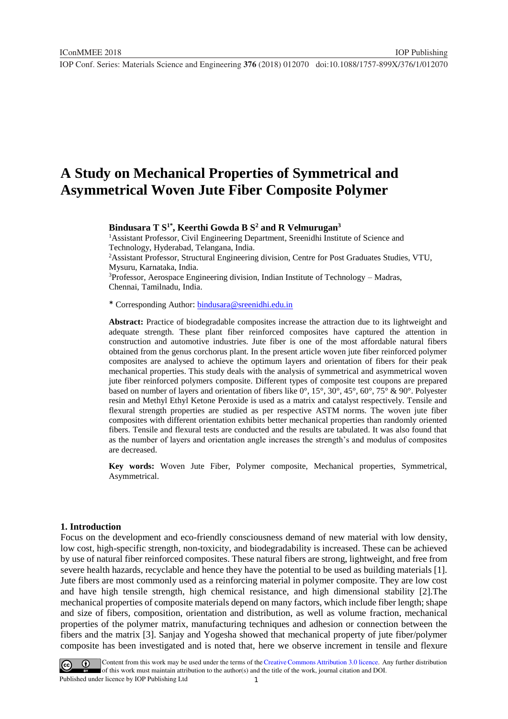## **A Study on Mechanical Properties of Symmetrical and Asymmetrical Woven Jute Fiber Composite Polymer**

**Bindusara T S1\* , Keerthi Gowda B S<sup>2</sup> and R Velmurugan<sup>3</sup>**

<sup>1</sup> Assistant Professor, Civil Engineering Department, Sreenidhi Institute of Science and Technology, Hyderabad, Telangana, India.

<sup>2</sup>Assistant Professor, Structural Engineering division, Centre for Post Graduates Studies, VTU, Mysuru, Karnataka, India.

<sup>3</sup>Professor, Aerospace Engineering division, Indian Institute of Technology – Madras, Chennai, Tamilnadu, India.

\* Corresponding Author: [bindusara@sreenidhi.edu.in](mailto:bindusara@sreenidhi.edu.in)

**Abstract:** Practice of biodegradable composites increase the attraction due to its lightweight and adequate strength. These plant fiber reinforced composites have captured the attention in construction and automotive industries. Jute fiber is one of the most affordable natural fibers obtained from the genus corchorus plant. In the present article woven jute fiber reinforced polymer composites are analysed to achieve the optimum layers and orientation of fibers for their peak mechanical properties. This study deals with the analysis of symmetrical and asymmetrical woven jute fiber reinforced polymers composite. Different types of composite test coupons are prepared based on number of layers and orientation of fibers like 0°, 15°, 30°, 45°, 60°, 75° & 90°. Polyester resin and Methyl Ethyl Ketone Peroxide is used as a matrix and catalyst respectively. Tensile and flexural strength properties are studied as per respective ASTM norms. The woven jute fiber composites with different orientation exhibits better mechanical properties than randomly oriented fibers. Tensile and flexural tests are conducted and the results are tabulated. It was also found that as the number of layers and orientation angle increases the strength's and modulus of composites are decreased.

**Key words:** Woven Jute Fiber, Polymer composite, Mechanical properties, Symmetrical, Asymmetrical.

#### **1. Introduction**

Focus on the development and eco-friendly consciousness demand of new material with low density, low cost, high-specific strength, non-toxicity, and biodegradability is increased. These can be achieved by use of natural fiber reinforced composites. These natural fibers are strong, lightweight, and free from severe health hazards, recyclable and hence they have the potential to be used as building materials [1]. Jute fibers are most commonly used as a reinforcing material in polymer composite. They are low cost and have high tensile strength, high chemical resistance, and high dimensional stability [2].The mechanical properties of composite materials depend on many factors, which include fiber length; shape and size of fibers, composition, orientation and distribution, as well as volume fraction, mechanical properties of the polymer matrix, manufacturing techniques and adhesion or connection between the fibers and the matrix [3]. Sanjay and Yogesha showed that mechanical property of jute fiber/polymer composite has been investigated and is noted that, here we observe increment in tensile and flexure

1 Content from this work may be used under the terms of the[Creative Commons Attribution 3.0 licence.](http://creativecommons.org/licenses/by/3.0) Any further distribution of this work must maintain attribution to the author(s) and the title of the work, journal citation and DOI. Published under licence by IOP Publishing Ltd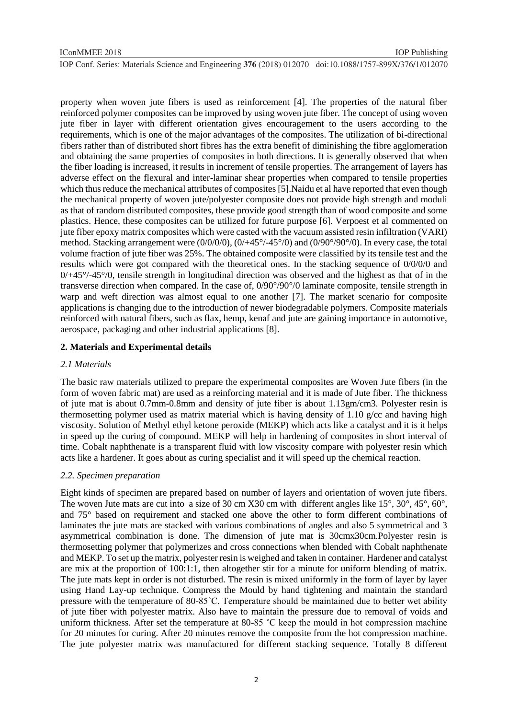property when woven jute fibers is used as reinforcement [4]. The properties of the natural fiber reinforced polymer composites can be improved by using woven jute fiber. The concept of using woven jute fiber in layer with different orientation gives encouragement to the users according to the requirements, which is one of the major advantages of the composites. The utilization of bi-directional fibers rather than of distributed short fibres has the extra benefit of diminishing the fibre agglomeration and obtaining the same properties of composites in both directions. It is generally observed that when the fiber loading is increased, it results in increment of tensile properties. The arrangement of layers has adverse effect on the flexural and inter-laminar shear properties when compared to tensile properties which thus reduce the mechanical attributes of composites [5].Naidu et al have reported that even though the mechanical property of woven jute/polyester composite does not provide high strength and moduli as that of random distributed composites, these provide good strength than of wood composite and some plastics. Hence, these composites can be utilized for future purpose [6]. Verpoest et al commented on jute fiber epoxy matrix composites which were casted with the vacuum assisted resin infiltration (VARI) method. Stacking arrangement were (0/0/0/0), (0/+45°/-45°/0) and (0/90°/90°/0). In every case, the total volume fraction of jute fiber was 25%. The obtained composite were classified by its tensile test and the results which were got compared with the theoretical ones. In the stacking sequence of 0/0/0/0 and  $0/445^{\circ}/-45^{\circ}/0$ , tensile strength in longitudinal direction was observed and the highest as that of in the transverse direction when compared. In the case of, 0/90°/90°/0 laminate composite, tensile strength in warp and weft direction was almost equal to one another [7]. The market scenario for composite applications is changing due to the introduction of newer biodegradable polymers. Composite materials reinforced with natural fibers, such as flax, hemp, kenaf and jute are gaining importance in automotive, aerospace, packaging and other industrial applications [8].

#### **2. Materials and Experimental details**

#### *2.1 Materials*

The basic raw materials utilized to prepare the experimental composites are Woven Jute fibers (in the form of woven fabric mat) are used as a reinforcing material and it is made of Jute fiber. The thickness of jute mat is about 0.7mm-0.8mm and density of jute fiber is about 1.13gm/cm3. Polyester resin is thermosetting polymer used as matrix material which is having density of 1.10  $g$ /cc and having high viscosity. Solution of Methyl ethyl ketone peroxide (MEKP) which acts like a catalyst and it is it helps in speed up the curing of compound. MEKP will help in hardening of composites in short interval of time. Cobalt naphthenate is a transparent fluid with low viscosity compare with polyester resin which acts like a hardener. It goes about as curing specialist and it will speed up the chemical reaction.

#### *2.2. Specimen preparation*

Eight kinds of specimen are prepared based on number of layers and orientation of woven jute fibers. The woven Jute mats are cut into a size of 30 cm X30 cm with different angles like 15°, 30°, 45°, 60°, and 75° based on requirement and stacked one above the other to form different combinations of laminates the jute mats are stacked with various combinations of angles and also 5 symmetrical and 3 asymmetrical combination is done. The dimension of jute mat is 30cmx30cm.Polyester resin is thermosetting polymer that polymerizes and cross connections when blended with Cobalt naphthenate and MEKP. To set up the matrix, polyester resin is weighed and taken in container. Hardener and catalyst are mix at the proportion of 100:1:1, then altogether stir for a minute for uniform blending of matrix. The jute mats kept in order is not disturbed. The resin is mixed uniformly in the form of layer by layer using Hand Lay-up technique. Compress the Mould by hand tightening and maintain the standard pressure with the temperature of 80-85˚C. Temperature should be maintained due to better wet ability of jute fiber with polyester matrix. Also have to maintain the pressure due to removal of voids and uniform thickness. After set the temperature at 80-85 ˚C keep the mould in hot compression machine for 20 minutes for curing. After 20 minutes remove the composite from the hot compression machine. The jute polyester matrix was manufactured for different stacking sequence. Totally 8 different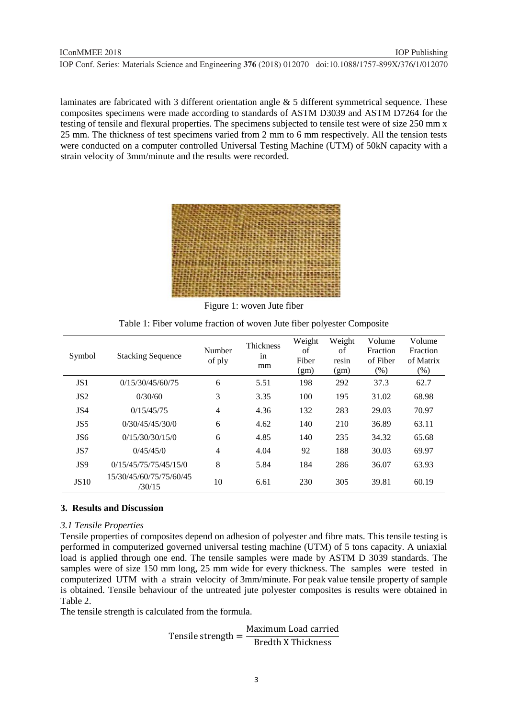laminates are fabricated with 3 different orientation angle & 5 different symmetrical sequence. These composites specimens were made according to standards of ASTM D3039 and ASTM D7264 for the testing of tensile and flexural properties. The specimens subjected to tensile test were of size 250 mm x 25 mm. The thickness of test specimens varied from 2 mm to 6 mm respectively. All the tension tests were conducted on a computer controlled Universal Testing Machine (UTM) of 50kN capacity with a strain velocity of 3mm/minute and the results were recorded.



Figure 1: woven Jute fiber

Table 1: Fiber volume fraction of woven Jute fiber polyester Composite

| Symbol          | <b>Stacking Sequence</b>          | Number<br>of ply | <b>Thickness</b><br>in<br>mm | Weight<br>of<br>Fiber<br>(gm) | Weight<br>of<br>resin<br>(gm) | Volume<br>Fraction<br>of Fiber<br>(% ) | Volume<br>Fraction<br>of Matrix<br>$(\% )$ |
|-----------------|-----------------------------------|------------------|------------------------------|-------------------------------|-------------------------------|----------------------------------------|--------------------------------------------|
| JS <sub>1</sub> | 0/15/30/45/60/75                  | 6                | 5.51                         | 198                           | 292                           | 37.3                                   | 62.7                                       |
| JS <sub>2</sub> | 0/30/60                           | 3                | 3.35                         | 100                           | 195                           | 31.02                                  | 68.98                                      |
| JS4             | 0/15/45/75                        | $\overline{4}$   | 4.36                         | 132                           | 283                           | 29.03                                  | 70.97                                      |
| JS <sub>5</sub> | 0/30/45/45/30/0                   | 6                | 4.62                         | 140                           | 210                           | 36.89                                  | 63.11                                      |
| JS <sub>6</sub> | 0/15/30/30/15/0                   | 6                | 4.85                         | 140                           | 235                           | 34.32                                  | 65.68                                      |
| JS7             | 0/45/45/0                         | 4                | 4.04                         | 92                            | 188                           | 30.03                                  | 69.97                                      |
| JS9             | 0/15/45/75/75/45/15/0             | 8                | 5.84                         | 184                           | 286                           | 36.07                                  | 63.93                                      |
| <b>JS10</b>     | 15/30/45/60/75/75/60/45<br>/30/15 | 10               | 6.61                         | 230                           | 305                           | 39.81                                  | 60.19                                      |

#### **3. Results and Discussion**

#### *3.1 Tensile Properties*

Tensile properties of composites depend on adhesion of polyester and fibre mats. This tensile testing is performed in computerized governed universal testing machine (UTM) of 5 tons capacity. A uniaxial load is applied through one end. The tensile samples were made by ASTM D 3039 standards. The samples were of size 150 mm long, 25 mm wide for every thickness. The samples were tested in computerized UTM with a strain velocity of 3mm/minute. For peak value tensile property of sample is obtained. Tensile behaviour of the untreated jute polyester composites is results were obtained in Table 2.

The tensile strength is calculated from the formula.

Tensile strength = Maximum Load carried Bredth X Thickness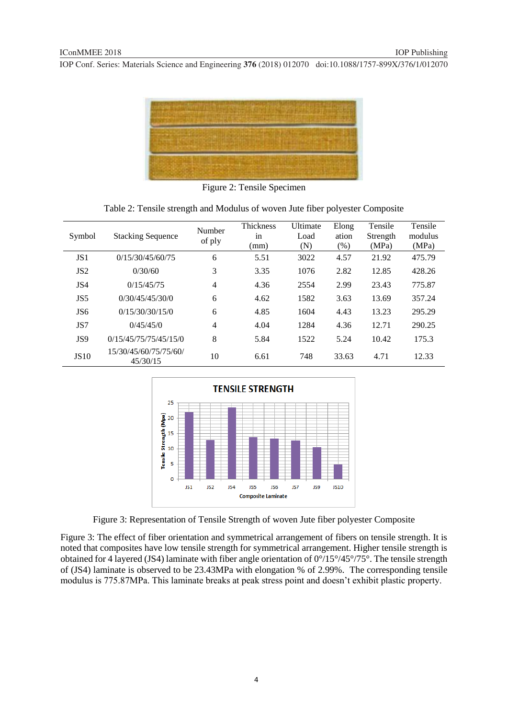

Figure 2: Tensile Specimen

| Symbol          | <b>Stacking Sequence</b>          | Number<br>of ply | Thickness | Ultimate | Elong | Tensile  | Tensile |
|-----------------|-----------------------------------|------------------|-----------|----------|-------|----------|---------|
|                 |                                   |                  | in        | Load     | ation | Strength | modulus |
|                 |                                   |                  | (mm)      | (N)      | (% )  | (MPa)    | (MPa)   |
| JS <sub>1</sub> | 0/15/30/45/60/75                  | 6                | 5.51      | 3022     | 4.57  | 21.92    | 475.79  |
| JS <sub>2</sub> | 0/30/60                           | 3                | 3.35      | 1076     | 2.82  | 12.85    | 428.26  |
| JS4             | 0/15/45/75                        | 4                | 4.36      | 2554     | 2.99  | 23.43    | 775.87  |
| JS5             | 0/30/45/45/30/0                   | 6                | 4.62      | 1582     | 3.63  | 13.69    | 357.24  |
| JS <sub>6</sub> | 0/15/30/30/15/0                   | 6                | 4.85      | 1604     | 4.43  | 13.23    | 295.29  |
| JS7             | 0/45/45/0                         | 4                | 4.04      | 1284     | 4.36  | 12.71    | 290.25  |
| JS <sub>9</sub> | 0/15/45/75/75/45/15/0             | 8                | 5.84      | 1522     | 5.24  | 10.42    | 175.3   |
| <b>JS10</b>     | 15/30/45/60/75/75/60/<br>45/30/15 | 10               | 6.61      | 748      | 33.63 | 4.71     | 12.33   |



Figure 3: Representation of Tensile Strength of woven Jute fiber polyester Composite

Figure 3: The effect of fiber orientation and symmetrical arrangement of fibers on tensile strength. It is noted that composites have low tensile strength for symmetrical arrangement. Higher tensile strength is obtained for 4 layered (JS4) laminate with fiber angle orientation of 0°/15°/45°/75°. The tensile strength of (JS4) laminate is observed to be 23.43MPa with elongation % of 2.99%. The corresponding tensile modulus is 775.87MPa. This laminate breaks at peak stress point and doesn't exhibit plastic property.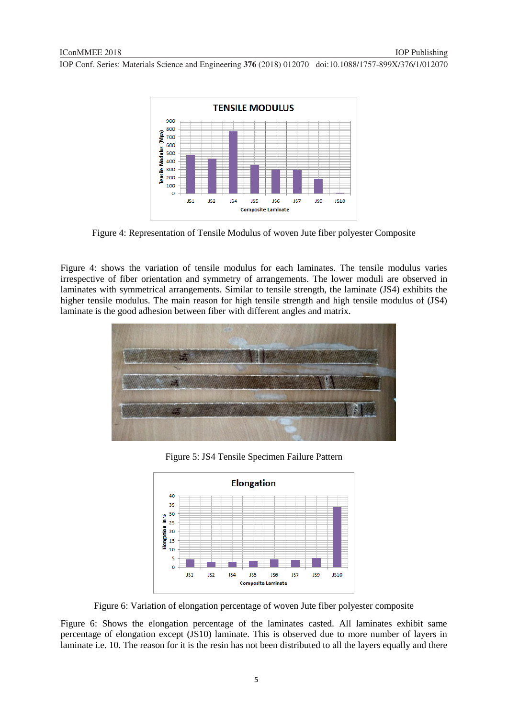

Figure 4: Representation of Tensile Modulus of woven Jute fiber polyester Composite

Figure 4: shows the variation of tensile modulus for each laminates. The tensile modulus varies irrespective of fiber orientation and symmetry of arrangements. The lower moduli are observed in laminates with symmetrical arrangements. Similar to tensile strength, the laminate (JS4) exhibits the higher tensile modulus. The main reason for high tensile strength and high tensile modulus of (JS4) laminate is the good adhesion between fiber with different angles and matrix.



Figure 5: JS4 Tensile Specimen Failure Pattern



Figure 6: Variation of elongation percentage of woven Jute fiber polyester composite

Figure 6: Shows the elongation percentage of the laminates casted. All laminates exhibit same percentage of elongation except (JS10) laminate. This is observed due to more number of layers in laminate i.e. 10. The reason for it is the resin has not been distributed to all the layers equally and there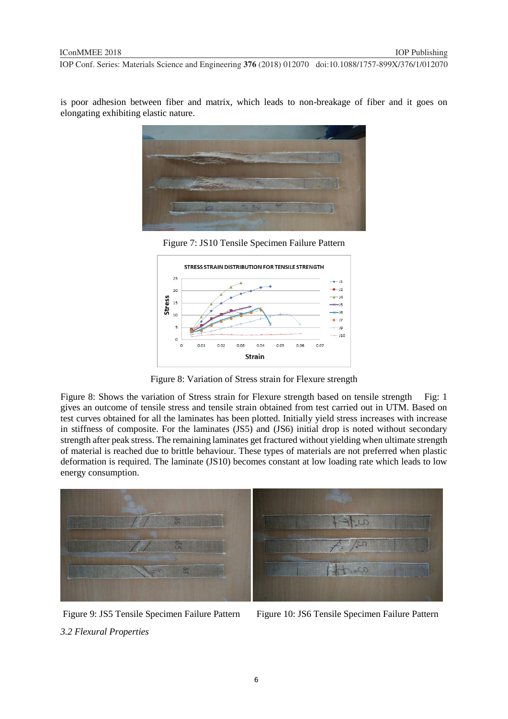is poor adhesion between fiber and matrix, which leads to non-breakage of fiber and it goes on elongating exhibiting elastic nature.







Figure 8: Variation of Stress strain for Flexure strength

Figure 8: Shows the variation of Stress strain for Flexure strength based on tensile strength Fig: 1 gives an outcome of tensile stress and tensile strain obtained from test carried out in UTM. Based on test curves obtained for all the laminates has been plotted. Initially yield stress increases with increase in stiffness of composite. For the laminates (JS5) and (JS6) initial drop is noted without secondary strength after peak stress. The remaining laminates get fractured without yielding when ultimate strength of material is reached due to brittle behaviour. These types of materials are not preferred when plastic deformation is required. The laminate (JS10) becomes constant at low loading rate which leads to low energy consumption.



Figure 9: JS5 Tensile Specimen Failure Pattern Figure 10: JS6 Tensile Specimen Failure Pattern *3.2 Flexural Properties*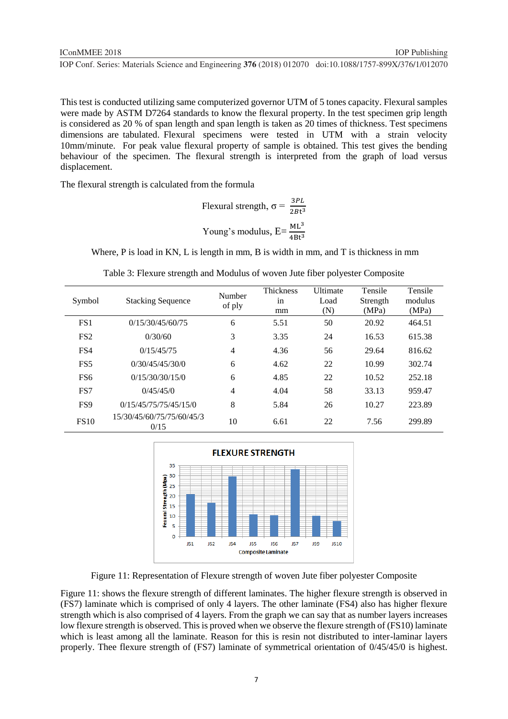This test is conducted utilizing same computerized governor UTM of 5 tones capacity. Flexural samples were made by ASTM D7264 standards to know the flexural property. In the test specimen grip length is considered as 20 % of span length and span length is taken as 20 times of thickness. Test specimens dimensions are tabulated. Flexural specimens were tested in UTM with a strain velocity 10mm/minute. For peak value flexural property of sample is obtained. This test gives the bending behaviour of the specimen. The flexural strength is interpreted from the graph of load versus displacement.

The flexural strength is calculated from the formula

Flexural strength, 
$$
\sigma = \frac{3PL}{2Bt^3}
$$
  
Young's modulus,  $E = \frac{ML^3}{4Bt^3}$ 

Where, P is load in KN, L is length in mm, B is width in mm, and T is thickness in mm

| Symbol          | <b>Stacking Sequence</b>          | Number<br>of ply | <b>Thickness</b><br>in<br>mm | Ultimate<br>Load<br>(N) | Tensile<br>Strength<br>(MPa) | Tensile<br>modulus<br>(MPa) |
|-----------------|-----------------------------------|------------------|------------------------------|-------------------------|------------------------------|-----------------------------|
| FS <sub>1</sub> | 0/15/30/45/60/75                  | 6                | 5.51                         | 50                      | 20.92                        | 464.51                      |
| FS <sub>2</sub> | 0/30/60                           | 3                | 3.35                         | 24                      | 16.53                        | 615.38                      |
| FS4             | 0/15/45/75                        | $\overline{4}$   | 4.36                         | 56                      | 29.64                        | 816.62                      |
| FS <sub>5</sub> | 0/30/45/45/30/0                   | 6                | 4.62                         | 22                      | 10.99                        | 302.74                      |
| FS <sub>6</sub> | 0/15/30/30/15/0                   | 6                | 4.85                         | 22                      | 10.52                        | 252.18                      |
| FS7             | 0/45/45/0                         | $\overline{4}$   | 4.04                         | 58                      | 33.13                        | 959.47                      |
| FS <sub>9</sub> | 0/15/45/75/75/45/15/0             | 8                | 5.84                         | 26                      | 10.27                        | 223.89                      |
| <b>FS10</b>     | 15/30/45/60/75/75/60/45/3<br>0/15 | 10               | 6.61                         | 22                      | 7.56                         | 299.89                      |



Figure 11: Representation of Flexure strength of woven Jute fiber polyester Composite

Figure 11: shows the flexure strength of different laminates. The higher flexure strength is observed in (FS7) laminate which is comprised of only 4 layers. The other laminate (FS4) also has higher flexure strength which is also comprised of 4 layers. From the graph we can say that as number layers increases low flexure strength is observed. This is proved when we observe the flexure strength of (FS10) laminate which is least among all the laminate. Reason for this is resin not distributed to inter-laminar layers properly. Thee flexure strength of (FS7) laminate of symmetrical orientation of 0/45/45/0 is highest.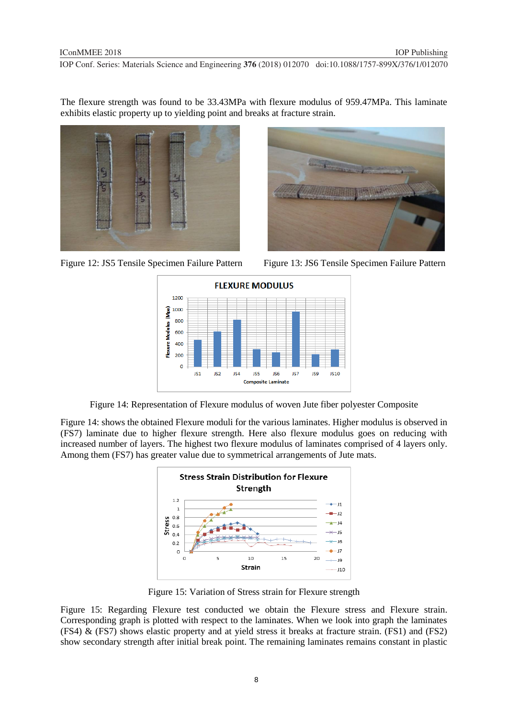The flexure strength was found to be 33.43MPa with flexure modulus of 959.47MPa. This laminate exhibits elastic property up to yielding point and breaks at fracture strain.



Figure 12: JS5 Tensile Specimen Failure Pattern Figure 13: JS6 Tensile Specimen Failure Pattern





Figure 14: Representation of Flexure modulus of woven Jute fiber polyester Composite

Figure 14: shows the obtained Flexure moduli for the various laminates. Higher modulus is observed in (FS7) laminate due to higher flexure strength. Here also flexure modulus goes on reducing with increased number of layers. The highest two flexure modulus of laminates comprised of 4 layers only. Among them (FS7) has greater value due to symmetrical arrangements of Jute mats.



Figure 15: Variation of Stress strain for Flexure strength

Figure 15: Regarding Flexure test conducted we obtain the Flexure stress and Flexure strain. Corresponding graph is plotted with respect to the laminates. When we look into graph the laminates (FS4) & (FS7) shows elastic property and at yield stress it breaks at fracture strain. (FS1) and (FS2) show secondary strength after initial break point. The remaining laminates remains constant in plastic